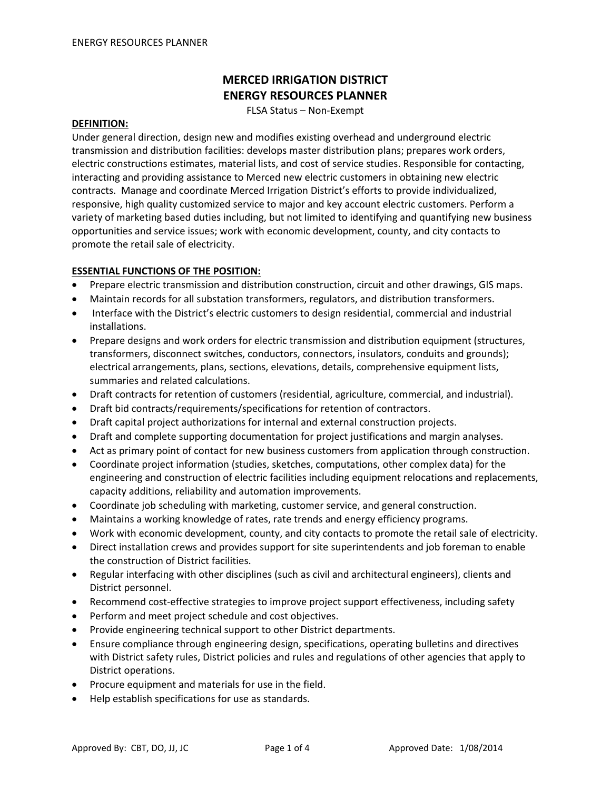# **MERCED IRRIGATION DISTRICT ENERGY RESOURCES PLANNER**

FLSA Status – Non‐Exempt

#### **DEFINITION:**

Under general direction, design new and modifies existing overhead and underground electric transmission and distribution facilities: develops master distribution plans; prepares work orders, electric constructions estimates, material lists, and cost of service studies. Responsible for contacting, interacting and providing assistance to Merced new electric customers in obtaining new electric contracts. Manage and coordinate Merced Irrigation District's efforts to provide individualized, responsive, high quality customized service to major and key account electric customers. Perform a variety of marketing based duties including, but not limited to identifying and quantifying new business opportunities and service issues; work with economic development, county, and city contacts to promote the retail sale of electricity.

## **ESSENTIAL FUNCTIONS OF THE POSITION:**

- Prepare electric transmission and distribution construction, circuit and other drawings, GIS maps.
- Maintain records for all substation transformers, regulators, and distribution transformers.
- Interface with the District's electric customers to design residential, commercial and industrial installations.
- Prepare designs and work orders for electric transmission and distribution equipment (structures, transformers, disconnect switches, conductors, connectors, insulators, conduits and grounds); electrical arrangements, plans, sections, elevations, details, comprehensive equipment lists, summaries and related calculations.
- Draft contracts for retention of customers (residential, agriculture, commercial, and industrial).
- Draft bid contracts/requirements/specifications for retention of contractors.
- Draft capital project authorizations for internal and external construction projects.
- Draft and complete supporting documentation for project justifications and margin analyses.
- Act as primary point of contact for new business customers from application through construction.
- Coordinate project information (studies, sketches, computations, other complex data) for the engineering and construction of electric facilities including equipment relocations and replacements, capacity additions, reliability and automation improvements.
- Coordinate job scheduling with marketing, customer service, and general construction.
- Maintains a working knowledge of rates, rate trends and energy efficiency programs.
- Work with economic development, county, and city contacts to promote the retail sale of electricity.
- Direct installation crews and provides support for site superintendents and job foreman to enable the construction of District facilities.
- Regular interfacing with other disciplines (such as civil and architectural engineers), clients and District personnel.
- Recommend cost-effective strategies to improve project support effectiveness, including safety
- Perform and meet project schedule and cost objectives.
- Provide engineering technical support to other District departments.
- Ensure compliance through engineering design, specifications, operating bulletins and directives with District safety rules, District policies and rules and regulations of other agencies that apply to District operations.
- Procure equipment and materials for use in the field.
- Help establish specifications for use as standards.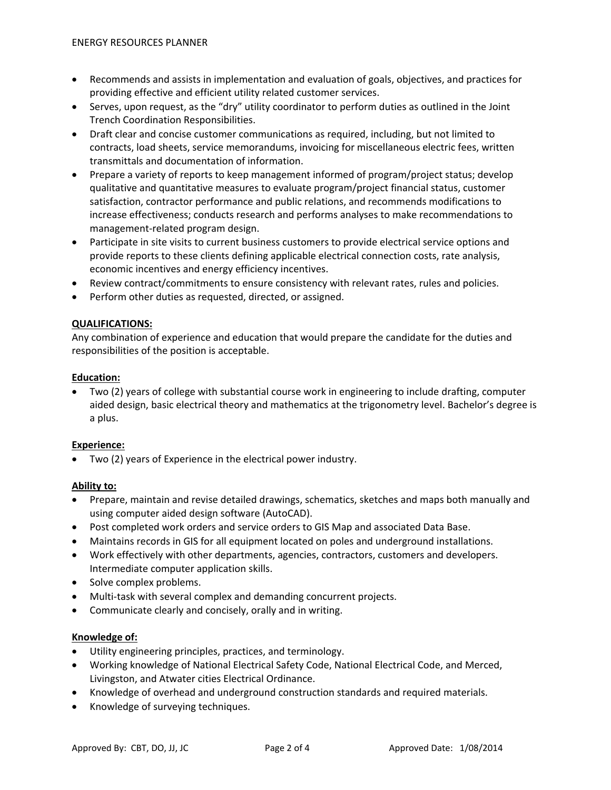- Recommends and assists in implementation and evaluation of goals, objectives, and practices for providing effective and efficient utility related customer services.
- Serves, upon request, as the "dry" utility coordinator to perform duties as outlined in the Joint Trench Coordination Responsibilities.
- Draft clear and concise customer communications as required, including, but not limited to contracts, load sheets, service memorandums, invoicing for miscellaneous electric fees, written transmittals and documentation of information.
- Prepare a variety of reports to keep management informed of program/project status; develop qualitative and quantitative measures to evaluate program/project financial status, customer satisfaction, contractor performance and public relations, and recommends modifications to increase effectiveness; conducts research and performs analyses to make recommendations to management‐related program design.
- Participate in site visits to current business customers to provide electrical service options and provide reports to these clients defining applicable electrical connection costs, rate analysis, economic incentives and energy efficiency incentives.
- Review contract/commitments to ensure consistency with relevant rates, rules and policies.
- Perform other duties as requested, directed, or assigned.

### **QUALIFICATIONS:**

Any combination of experience and education that would prepare the candidate for the duties and responsibilities of the position is acceptable.

### **Education:**

• Two (2) years of college with substantial course work in engineering to include drafting, computer aided design, basic electrical theory and mathematics at the trigonometry level. Bachelor's degree is a plus.

### **Experience:**

• Two (2) years of Experience in the electrical power industry.

### **Ability to:**

- Prepare, maintain and revise detailed drawings, schematics, sketches and maps both manually and using computer aided design software (AutoCAD).
- Post completed work orders and service orders to GIS Map and associated Data Base.
- Maintains records in GIS for all equipment located on poles and underground installations.
- Work effectively with other departments, agencies, contractors, customers and developers. Intermediate computer application skills.
- Solve complex problems.
- Multi-task with several complex and demanding concurrent projects.
- Communicate clearly and concisely, orally and in writing.

### **Knowledge of:**

- Utility engineering principles, practices, and terminology.
- Working knowledge of National Electrical Safety Code, National Electrical Code, and Merced, Livingston, and Atwater cities Electrical Ordinance.
- Knowledge of overhead and underground construction standards and required materials.
- Knowledge of surveying techniques.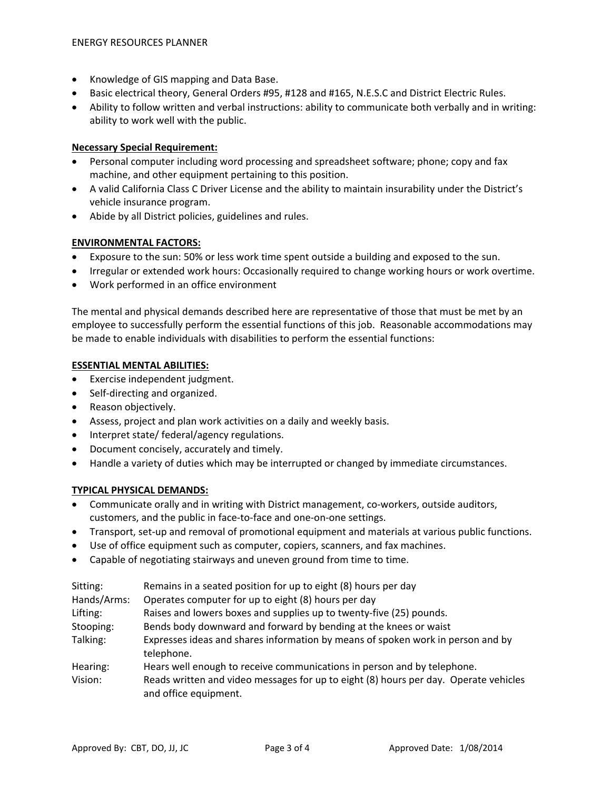- Knowledge of GIS mapping and Data Base.
- Basic electrical theory, General Orders #95, #128 and #165, N.E.S.C and District Electric Rules.
- Ability to follow written and verbal instructions: ability to communicate both verbally and in writing: ability to work well with the public.

## **Necessary Special Requirement:**

- Personal computer including word processing and spreadsheet software; phone; copy and fax machine, and other equipment pertaining to this position.
- A valid California Class C Driver License and the ability to maintain insurability under the District's vehicle insurance program.
- Abide by all District policies, guidelines and rules.

## **ENVIRONMENTAL FACTORS:**

- Exposure to the sun: 50% or less work time spent outside a building and exposed to the sun.
- Irregular or extended work hours: Occasionally required to change working hours or work overtime.
- Work performed in an office environment

The mental and physical demands described here are representative of those that must be met by an employee to successfully perform the essential functions of this job. Reasonable accommodations may be made to enable individuals with disabilities to perform the essential functions:

### **ESSENTIAL MENTAL ABILITIES:**

- Exercise independent judgment.
- Self-directing and organized.
- Reason objectively.
- Assess, project and plan work activities on a daily and weekly basis.
- Interpret state/ federal/agency regulations.
- Document concisely, accurately and timely.
- Handle a variety of duties which may be interrupted or changed by immediate circumstances.

### **TYPICAL PHYSICAL DEMANDS:**

- Communicate orally and in writing with District management, co-workers, outside auditors, customers, and the public in face‐to‐face and one‐on‐one settings.
- Transport, set-up and removal of promotional equipment and materials at various public functions.
- Use of office equipment such as computer, copiers, scanners, and fax machines.
- Capable of negotiating stairways and uneven ground from time to time.

| Sitting:    | Remains in a seated position for up to eight (8) hours per day                                                |
|-------------|---------------------------------------------------------------------------------------------------------------|
| Hands/Arms: | Operates computer for up to eight (8) hours per day                                                           |
| Lifting:    | Raises and lowers boxes and supplies up to twenty-five (25) pounds.                                           |
| Stooping:   | Bends body downward and forward by bending at the knees or waist                                              |
| Talking:    | Expresses ideas and shares information by means of spoken work in person and by<br>telephone.                 |
| Hearing:    | Hears well enough to receive communications in person and by telephone.                                       |
| Vision:     | Reads written and video messages for up to eight (8) hours per day. Operate vehicles<br>and office equipment. |